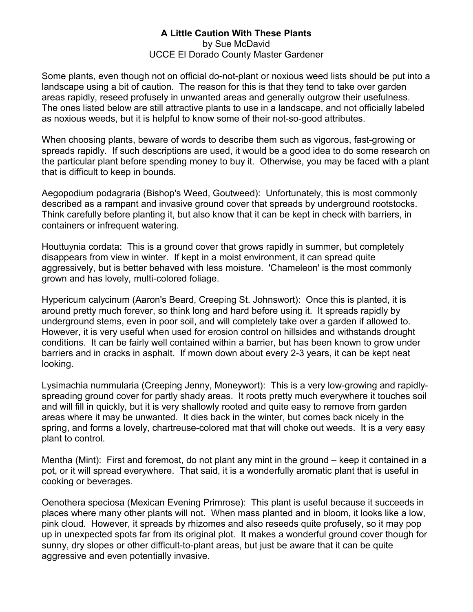## **A Little Caution With These Plants** by Sue McDavid UCCE El Dorado County Master Gardener

Some plants, even though not on official do-not-plant or noxious weed lists should be put into a landscape using a bit of caution. The reason for this is that they tend to take over garden areas rapidly, reseed profusely in unwanted areas and generally outgrow their usefulness. The ones listed below are still attractive plants to use in a landscape, and not officially labeled as noxious weeds, but it is helpful to know some of their not-so-good attributes.

When choosing plants, beware of words to describe them such as vigorous, fast-growing or spreads rapidly. If such descriptions are used, it would be a good idea to do some research on the particular plant before spending money to buy it. Otherwise, you may be faced with a plant that is difficult to keep in bounds.

Aegopodium podagraria (Bishop's Weed, Goutweed): Unfortunately, this is most commonly described as a rampant and invasive ground cover that spreads by underground rootstocks. Think carefully before planting it, but also know that it can be kept in check with barriers, in containers or infrequent watering.

Houttuynia cordata: This is a ground cover that grows rapidly in summer, but completely disappears from view in winter. If kept in a moist environment, it can spread quite aggressively, but is better behaved with less moisture. 'Chameleon' is the most commonly grown and has lovely, multi-colored foliage.

Hypericum calycinum (Aaron's Beard, Creeping St. Johnswort): Once this is planted, it is around pretty much forever, so think long and hard before using it. It spreads rapidly by underground stems, even in poor soil, and will completely take over a garden if allowed to. However, it is very useful when used for erosion control on hillsides and withstands drought conditions. It can be fairly well contained within a barrier, but has been known to grow under barriers and in cracks in asphalt. If mown down about every 2-3 years, it can be kept neat looking.

Lysimachia nummularia (Creeping Jenny, Moneywort): This is a very low-growing and rapidlyspreading ground cover for partly shady areas. It roots pretty much everywhere it touches soil and will fill in quickly, but it is very shallowly rooted and quite easy to remove from garden areas where it may be unwanted. It dies back in the winter, but comes back nicely in the spring, and forms a lovely, chartreuse-colored mat that will choke out weeds. It is a very easy plant to control.

Mentha (Mint): First and foremost, do not plant any mint in the ground – keep it contained in a pot, or it will spread everywhere. That said, it is a wonderfully aromatic plant that is useful in cooking or beverages.

Oenothera speciosa (Mexican Evening Primrose): This plant is useful because it succeeds in places where many other plants will not. When mass planted and in bloom, it looks like a low, pink cloud. However, it spreads by rhizomes and also reseeds quite profusely, so it may pop up in unexpected spots far from its original plot. It makes a wonderful ground cover though for sunny, dry slopes or other difficult-to-plant areas, but just be aware that it can be quite aggressive and even potentially invasive.